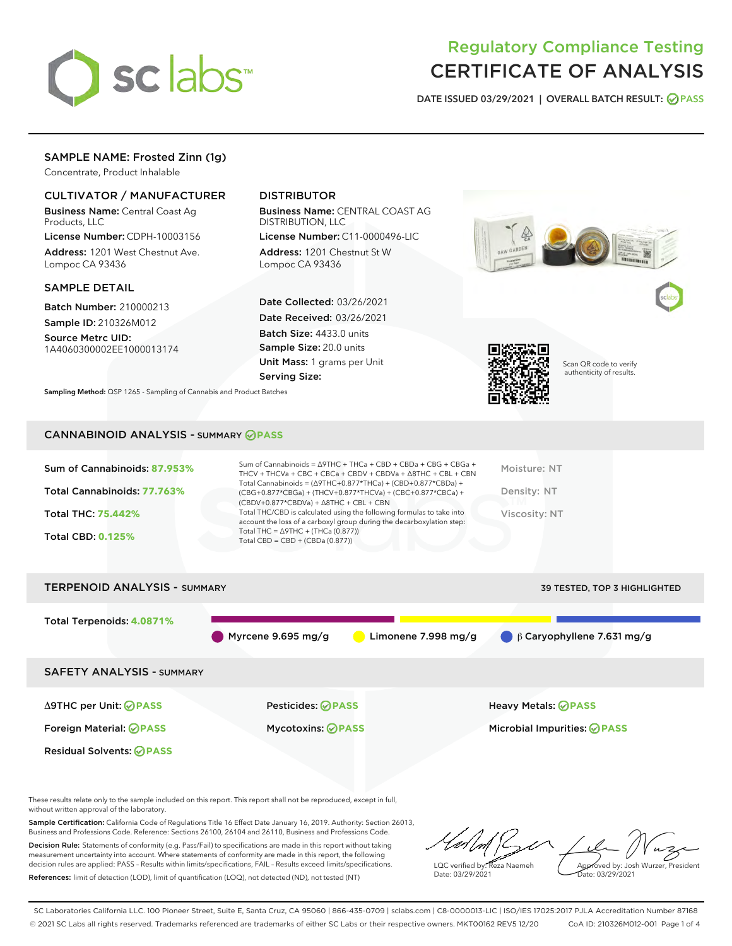

# Regulatory Compliance Testing CERTIFICATE OF ANALYSIS

DATE ISSUED 03/29/2021 | OVERALL BATCH RESULT: @ PASS

# SAMPLE NAME: Frosted Zinn (1g)

Concentrate, Product Inhalable

## CULTIVATOR / MANUFACTURER

Business Name: Central Coast Ag Products, LLC

License Number: CDPH-10003156 Address: 1201 West Chestnut Ave. Lompoc CA 93436

### SAMPLE DETAIL

Batch Number: 210000213 Sample ID: 210326M012

Source Metrc UID: 1A4060300002EE1000013174

# DISTRIBUTOR

Business Name: CENTRAL COAST AG DISTRIBUTION, LLC

License Number: C11-0000496-LIC Address: 1201 Chestnut St W Lompoc CA 93436

Date Collected: 03/26/2021 Date Received: 03/26/2021 Batch Size: 4433.0 units Sample Size: 20.0 units Unit Mass: 1 grams per Unit Serving Size:





Scan QR code to verify authenticity of results.

Sampling Method: QSP 1265 - Sampling of Cannabis and Product Batches

## CANNABINOID ANALYSIS - SUMMARY **PASS**

| Moisture: NT<br>Density: NT<br><b>Viscosity: NT</b> | Sum of Cannabinoids = $\triangle$ 9THC + THCa + CBD + CBDa + CBG + CBGa +<br>THCV + THCVa + CBC + CBCa + CBDV + CBDVa + $\land$ 8THC + CBL + CBN<br>Total Cannabinoids = $(\Delta 9THC + 0.877*THCa) + (CBD+0.877*CBDa) +$<br>(CBG+0.877*CBGa) + (THCV+0.877*THCVa) + (CBC+0.877*CBCa) +<br>$(CBDV+0.877*CBDVa) + \Delta 8THC + CBL + CBN$<br>Total THC/CBD is calculated using the following formulas to take into<br>account the loss of a carboxyl group during the decarboxylation step:<br>Total THC = $\triangle$ 9THC + (THCa (0.877))<br>Total CBD = $CBD + (CBDa (0.877))$ | Sum of Cannabinoids: 87.953%<br>Total Cannabinoids: 77.763%<br>Total THC: 75.442%<br><b>Total CBD: 0.125%</b> |
|-----------------------------------------------------|-------------------------------------------------------------------------------------------------------------------------------------------------------------------------------------------------------------------------------------------------------------------------------------------------------------------------------------------------------------------------------------------------------------------------------------------------------------------------------------------------------------------------------------------------------------------------------------|---------------------------------------------------------------------------------------------------------------|
|-----------------------------------------------------|-------------------------------------------------------------------------------------------------------------------------------------------------------------------------------------------------------------------------------------------------------------------------------------------------------------------------------------------------------------------------------------------------------------------------------------------------------------------------------------------------------------------------------------------------------------------------------------|---------------------------------------------------------------------------------------------------------------|



These results relate only to the sample included on this report. This report shall not be reproduced, except in full, without written approval of the laboratory.

Sample Certification: California Code of Regulations Title 16 Effect Date January 16, 2019. Authority: Section 26013, Business and Professions Code. Reference: Sections 26100, 26104 and 26110, Business and Professions Code.

Decision Rule: Statements of conformity (e.g. Pass/Fail) to specifications are made in this report without taking measurement uncertainty into account. Where statements of conformity are made in this report, the following decision rules are applied: PASS – Results within limits/specifications, FAIL – Results exceed limits/specifications. References: limit of detection (LOD), limit of quantification (LOQ), not detected (ND), not tested (NT)

LQC verified by: Reza Naemeh Date: 03/29/2021 Approved by: Josh Wurzer, President Date: 03/29/2021

SC Laboratories California LLC. 100 Pioneer Street, Suite E, Santa Cruz, CA 95060 | 866-435-0709 | sclabs.com | C8-0000013-LIC | ISO/IES 17025:2017 PJLA Accreditation Number 87168 © 2021 SC Labs all rights reserved. Trademarks referenced are trademarks of either SC Labs or their respective owners. MKT00162 REV5 12/20 CoA ID: 210326M012-001 Page 1 of 4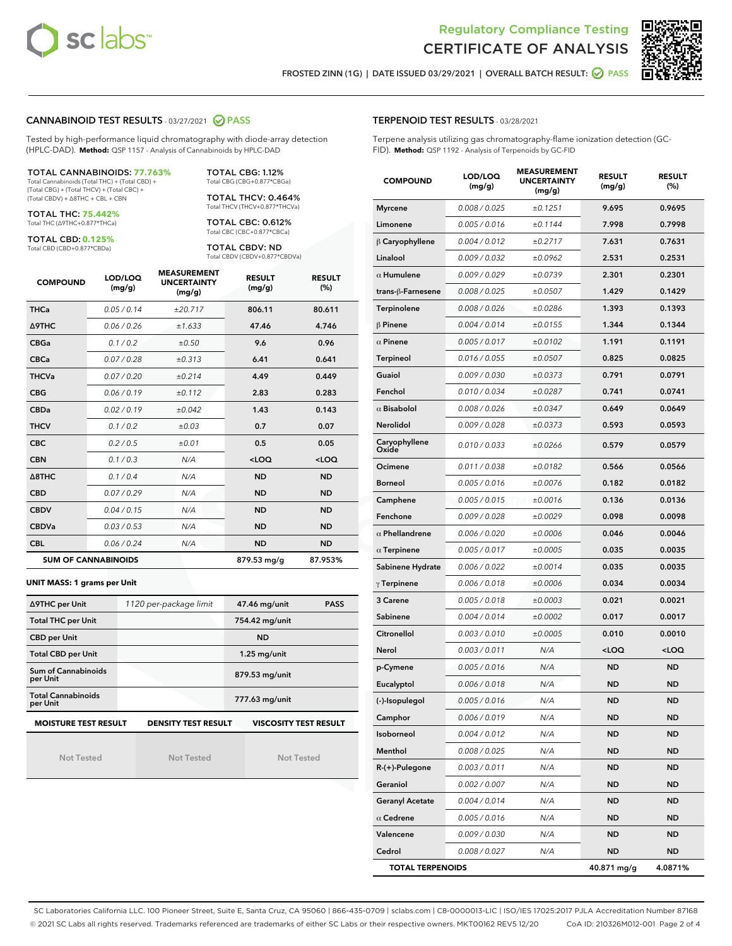



FROSTED ZINN (1G) | DATE ISSUED 03/29/2021 | OVERALL BATCH RESULT: @ PASS

## CANNABINOID TEST RESULTS - 03/27/2021 2 PASS

Tested by high-performance liquid chromatography with diode-array detection (HPLC-DAD). **Method:** QSP 1157 - Analysis of Cannabinoids by HPLC-DAD

#### TOTAL CANNABINOIDS: **77.763%**

Total Cannabinoids (Total THC) + (Total CBD) + (Total CBG) + (Total THCV) + (Total CBC) + (Total CBDV) + ∆8THC + CBL + CBN

TOTAL THC: **75.442%** Total THC (∆9THC+0.877\*THCa)

TOTAL CBD: **0.125%**

Total CBD (CBD+0.877\*CBDa)

TOTAL CBG: 1.12% Total CBG (CBG+0.877\*CBGa)

TOTAL THCV: 0.464% Total THCV (THCV+0.877\*THCVa)

TOTAL CBC: 0.612% Total CBC (CBC+0.877\*CBCa)

TOTAL CBDV: ND Total CBDV (CBDV+0.877\*CBDVa)

| <b>COMPOUND</b>  | LOD/LOQ<br>(mg/g)          | <b>MEASUREMENT</b><br><b>UNCERTAINTY</b><br>(mg/g) | <b>RESULT</b><br>(mg/g) | <b>RESULT</b><br>(%) |
|------------------|----------------------------|----------------------------------------------------|-------------------------|----------------------|
| <b>THCa</b>      | 0.05/0.14                  | ±20.717                                            | 806.11                  | 80.611               |
| Δ9THC            | 0.06 / 0.26                | ±1.633                                             | 47.46                   | 4.746                |
| <b>CBGa</b>      | 0.1/0.2                    | ±0.50                                              | 9.6                     | 0.96                 |
| <b>CBCa</b>      | 0.07 / 0.28                | ±0.313                                             | 6.41                    | 0.641                |
| <b>THCVa</b>     | 0.07/0.20                  | ±0.214                                             | 4.49                    | 0.449                |
| <b>CBG</b>       | 0.06/0.19                  | ±0.112                                             | 2.83                    | 0.283                |
| <b>CBDa</b>      | 0.02/0.19                  | ±0.042                                             | 1.43                    | 0.143                |
| <b>THCV</b>      | 0.1/0.2                    | ±0.03                                              | 0.7                     | 0.07                 |
| <b>CBC</b>       | 0.2 / 0.5                  | ±0.01                                              | 0.5                     | 0.05                 |
| <b>CBN</b>       | 0.1/0.3                    | N/A                                                | $<$ LOQ                 | $<$ LOQ              |
| $\triangle$ 8THC | 0.1 / 0.4                  | N/A                                                | <b>ND</b>               | <b>ND</b>            |
| <b>CBD</b>       | 0.07/0.29                  | N/A                                                | <b>ND</b>               | <b>ND</b>            |
| <b>CBDV</b>      | 0.04 / 0.15                | N/A                                                | <b>ND</b>               | <b>ND</b>            |
| <b>CBDVa</b>     | 0.03 / 0.53                | N/A                                                | <b>ND</b>               | <b>ND</b>            |
| <b>CBL</b>       | 0.06 / 0.24                | N/A                                                | <b>ND</b>               | <b>ND</b>            |
|                  | <b>SUM OF CANNABINOIDS</b> |                                                    | 879.53 mg/g             | 87.953%              |

#### **UNIT MASS: 1 grams per Unit**

| ∆9THC per Unit                         | 1120 per-package limit | <b>PASS</b><br>47.46 mg/unit |
|----------------------------------------|------------------------|------------------------------|
| <b>Total THC per Unit</b>              |                        | 754.42 mg/unit               |
| <b>CBD per Unit</b>                    |                        | <b>ND</b>                    |
| <b>Total CBD per Unit</b>              |                        | $1.25$ mg/unit               |
| <b>Sum of Cannabinoids</b><br>per Unit |                        | 879.53 mg/unit               |
| <b>Total Cannabinoids</b><br>per Unit  |                        | 777.63 mg/unit               |
| <b>MOISTURE TEST RESULT</b>            | DENSITY TEST RESULT    | <b>VISCOSITY TEST RESULT</b> |

Not Tested

**MOISTURE TEST RESULT**

Not Tested

Not Tested

## TERPENOID TEST RESULTS - 03/28/2021

Terpene analysis utilizing gas chromatography-flame ionization detection (GC-FID). **Method:** QSP 1192 - Analysis of Terpenoids by GC-FID

| <b>COMPOUND</b>         | LOD/LOQ<br>(mg/g) | <b>MEASUREMENT</b><br><b>UNCERTAINTY</b><br>(mg/g) | <b>RESULT</b><br>(mg/g)                         | <b>RESULT</b><br>$(\%)$ |
|-------------------------|-------------------|----------------------------------------------------|-------------------------------------------------|-------------------------|
| <b>Myrcene</b>          | 0.008 / 0.025     | ±0.1251                                            | 9.695                                           | 0.9695                  |
| Limonene                | 0.005 / 0.016     | ±0.1144                                            | 7.998                                           | 0.7998                  |
| $\beta$ Caryophyllene   | 0.004 / 0.012     | ±0.2717                                            | 7.631                                           | 0.7631                  |
| Linalool                | 0.009 / 0.032     | ±0.0962                                            | 2.531                                           | 0.2531                  |
| $\alpha$ Humulene       | 0.009/0.029       | ±0.0739                                            | 2.301                                           | 0.2301                  |
| trans-ß-Farnesene       | 0.008 / 0.025     | ±0.0507                                            | 1.429                                           | 0.1429                  |
| Terpinolene             | 0.008 / 0.026     | ±0.0286                                            | 1.393                                           | 0.1393                  |
| $\beta$ Pinene          | 0.004 / 0.014     | ±0.0155                                            | 1.344                                           | 0.1344                  |
| $\alpha$ Pinene         | 0.005 / 0.017     | ±0.0102                                            | 1.191                                           | 0.1191                  |
| Terpineol               | 0.016 / 0.055     | ±0.0507                                            | 0.825                                           | 0.0825                  |
| Guaiol                  | 0.009 / 0.030     | ±0.0373                                            | 0.791                                           | 0.0791                  |
| Fenchol                 | 0.010 / 0.034     | ±0.0287                                            | 0.741                                           | 0.0741                  |
| $\alpha$ Bisabolol      | 0.008 / 0.026     | ±0.0347                                            | 0.649                                           | 0.0649                  |
| <b>Nerolidol</b>        | 0.009 / 0.028     | ±0.0373                                            | 0.593                                           | 0.0593                  |
| Caryophyllene<br>Oxide  | 0.010 / 0.033     | ±0.0266                                            | 0.579                                           | 0.0579                  |
| Ocimene                 | 0.011 / 0.038     | ±0.0182                                            | 0.566                                           | 0.0566                  |
| <b>Borneol</b>          | 0.005 / 0.016     | ±0.0076                                            | 0.182                                           | 0.0182                  |
| Camphene                | 0.005 / 0.015     | ±0.0016                                            | 0.136                                           | 0.0136                  |
| Fenchone                | 0.009 / 0.028     | ±0.0029                                            | 0.098                                           | 0.0098                  |
| $\alpha$ Phellandrene   | 0.006 / 0.020     | ±0.0006                                            | 0.046                                           | 0.0046                  |
| $\alpha$ Terpinene      | 0.005 / 0.017     | ±0.0005                                            | 0.035                                           | 0.0035                  |
| Sabinene Hydrate        | 0.006 / 0.022     | ±0.0014                                            | 0.035                                           | 0.0035                  |
| $\gamma$ Terpinene      | 0.006 / 0.018     | ±0.0006                                            | 0.034                                           | 0.0034                  |
| 3 Carene                | 0.005 / 0.018     | ±0.0003                                            | 0.021                                           | 0.0021                  |
| Sabinene                | 0.004 / 0.014     | ±0.0002                                            | 0.017                                           | 0.0017                  |
| Citronellol             | 0.003 / 0.010     | ±0.0005                                            | 0.010                                           | 0.0010                  |
| Nerol                   | 0.003 / 0.011     | N/A                                                | <loq< th=""><th><loq< th=""></loq<></th></loq<> | <loq< th=""></loq<>     |
| p-Cymene                | 0.005 / 0.016     | N/A                                                | <b>ND</b>                                       | <b>ND</b>               |
| Eucalyptol              | 0.006 / 0.018     | N/A                                                | <b>ND</b>                                       | ND                      |
| (-)-Isopulegol          | 0.005 / 0.016     | N/A                                                | <b>ND</b>                                       | <b>ND</b>               |
| Camphor                 | 0.006 / 0.019     | N/A                                                | ND                                              | ND                      |
| Isoborneol              | 0.004 / 0.012     | N/A                                                | ND                                              | ND                      |
| Menthol                 | 0.008 / 0.025     | N/A                                                | ND                                              | <b>ND</b>               |
| R-(+)-Pulegone          | 0.003 / 0.011     | N/A                                                | ND                                              | ND                      |
| Geraniol                | 0.002 / 0.007     | N/A                                                | ND                                              | ND                      |
| <b>Geranyl Acetate</b>  | 0.004 / 0.014     | N/A                                                | ND                                              | ND                      |
| $\alpha$ Cedrene        | 0.005 / 0.016     | N/A                                                | <b>ND</b>                                       | <b>ND</b>               |
| Valencene               | 0.009 / 0.030     | N/A                                                | ND                                              | ND                      |
| Cedrol                  | 0.008 / 0.027     | N/A                                                | ND                                              | ND                      |
| <b>TOTAL TERPENOIDS</b> |                   |                                                    | 40.871 mg/g                                     | 4.0871%                 |

SC Laboratories California LLC. 100 Pioneer Street, Suite E, Santa Cruz, CA 95060 | 866-435-0709 | sclabs.com | C8-0000013-LIC | ISO/IES 17025:2017 PJLA Accreditation Number 87168 © 2021 SC Labs all rights reserved. Trademarks referenced are trademarks of either SC Labs or their respective owners. MKT00162 REV5 12/20 CoA ID: 210326M012-001 Page 2 of 4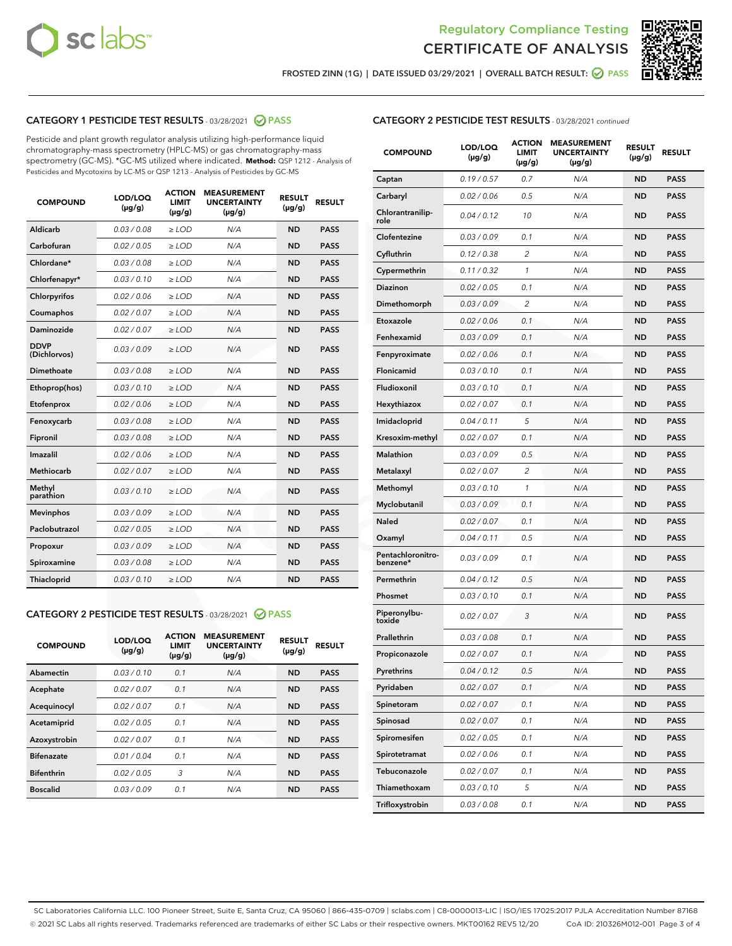



FROSTED ZINN (1G) | DATE ISSUED 03/29/2021 | OVERALL BATCH RESULT:  $\bigcirc$  PASS

## CATEGORY 1 PESTICIDE TEST RESULTS - 03/28/2021 2 PASS

Pesticide and plant growth regulator analysis utilizing high-performance liquid chromatography-mass spectrometry (HPLC-MS) or gas chromatography-mass spectrometry (GC-MS). \*GC-MS utilized where indicated. **Method:** QSP 1212 - Analysis of Pesticides and Mycotoxins by LC-MS or QSP 1213 - Analysis of Pesticides by GC-MS

| 0.03 / 0.08<br><b>ND</b><br><b>PASS</b><br>Aldicarb<br>$\ge$ LOD<br>N/A<br>Carbofuran<br>0.02 / 0.05<br>$\ge$ LOD<br>N/A<br><b>ND</b><br><b>PASS</b><br>Chlordane*<br>0.03 / 0.08<br>$\ge$ LOD<br>N/A<br><b>ND</b><br><b>PASS</b><br>Chlorfenapyr*<br>0.03/0.10<br>$\ge$ LOD<br>N/A<br><b>ND</b><br><b>PASS</b><br>Chlorpyrifos<br>0.02 / 0.06<br>N/A<br><b>ND</b><br><b>PASS</b><br>$\ge$ LOD<br>Coumaphos<br>0.02 / 0.07<br>N/A<br><b>ND</b><br><b>PASS</b><br>$\ge$ LOD<br>Daminozide<br>0.02 / 0.07<br>N/A<br><b>ND</b><br><b>PASS</b><br>$\ge$ LOD<br><b>DDVP</b><br>0.03/0.09<br>$>$ LOD<br>N/A<br><b>ND</b><br><b>PASS</b><br>(Dichlorvos)<br>Dimethoate<br>0.03 / 0.08<br>$\ge$ LOD<br><b>ND</b><br><b>PASS</b><br>N/A<br>0.03/0.10<br>N/A<br><b>ND</b><br><b>PASS</b><br>Ethoprop(hos)<br>$>$ LOD<br>0.02 / 0.06<br>N/A<br><b>ND</b><br><b>PASS</b><br>$\ge$ LOD<br>Etofenprox<br>Fenoxycarb<br>0.03 / 0.08<br>$\ge$ LOD<br>N/A<br><b>ND</b><br><b>PASS</b><br>0.03 / 0.08<br>$\ge$ LOD<br>N/A<br><b>ND</b><br><b>PASS</b><br>Fipronil<br>Imazalil<br>0.02 / 0.06<br>$>$ LOD<br>N/A<br><b>ND</b><br><b>PASS</b><br><b>Methiocarb</b><br>0.02 / 0.07<br>$\ge$ LOD<br>N/A<br><b>ND</b><br><b>PASS</b><br>Methyl<br>0.03/0.10<br>N/A<br><b>ND</b><br><b>PASS</b><br>$\ge$ LOD<br>parathion<br>0.03/0.09<br><b>Mevinphos</b><br>$\ge$ LOD<br>N/A<br><b>ND</b><br><b>PASS</b><br>Paclobutrazol<br>0.02 / 0.05<br>$>$ LOD<br>N/A<br><b>ND</b><br><b>PASS</b><br>0.03/0.09<br>N/A<br>$\ge$ LOD<br><b>ND</b><br><b>PASS</b><br>Propoxur<br>0.03 / 0.08<br><b>ND</b><br><b>PASS</b><br>Spiroxamine<br>$\ge$ LOD<br>N/A<br>Thiacloprid<br>0.03/0.10<br>$\ge$ LOD<br>N/A<br><b>ND</b><br><b>PASS</b> | <b>COMPOUND</b> | LOD/LOQ<br>$(\mu g/g)$ | <b>ACTION</b><br><b>LIMIT</b><br>$(\mu g/g)$ | <b>MEASUREMENT</b><br><b>UNCERTAINTY</b><br>$(\mu g/g)$ | <b>RESULT</b><br>$(\mu g/g)$ | <b>RESULT</b> |
|----------------------------------------------------------------------------------------------------------------------------------------------------------------------------------------------------------------------------------------------------------------------------------------------------------------------------------------------------------------------------------------------------------------------------------------------------------------------------------------------------------------------------------------------------------------------------------------------------------------------------------------------------------------------------------------------------------------------------------------------------------------------------------------------------------------------------------------------------------------------------------------------------------------------------------------------------------------------------------------------------------------------------------------------------------------------------------------------------------------------------------------------------------------------------------------------------------------------------------------------------------------------------------------------------------------------------------------------------------------------------------------------------------------------------------------------------------------------------------------------------------------------------------------------------------------------------------------------------------------------------------------------------------------------------------------------------|-----------------|------------------------|----------------------------------------------|---------------------------------------------------------|------------------------------|---------------|
|                                                                                                                                                                                                                                                                                                                                                                                                                                                                                                                                                                                                                                                                                                                                                                                                                                                                                                                                                                                                                                                                                                                                                                                                                                                                                                                                                                                                                                                                                                                                                                                                                                                                                                    |                 |                        |                                              |                                                         |                              |               |
|                                                                                                                                                                                                                                                                                                                                                                                                                                                                                                                                                                                                                                                                                                                                                                                                                                                                                                                                                                                                                                                                                                                                                                                                                                                                                                                                                                                                                                                                                                                                                                                                                                                                                                    |                 |                        |                                              |                                                         |                              |               |
|                                                                                                                                                                                                                                                                                                                                                                                                                                                                                                                                                                                                                                                                                                                                                                                                                                                                                                                                                                                                                                                                                                                                                                                                                                                                                                                                                                                                                                                                                                                                                                                                                                                                                                    |                 |                        |                                              |                                                         |                              |               |
|                                                                                                                                                                                                                                                                                                                                                                                                                                                                                                                                                                                                                                                                                                                                                                                                                                                                                                                                                                                                                                                                                                                                                                                                                                                                                                                                                                                                                                                                                                                                                                                                                                                                                                    |                 |                        |                                              |                                                         |                              |               |
|                                                                                                                                                                                                                                                                                                                                                                                                                                                                                                                                                                                                                                                                                                                                                                                                                                                                                                                                                                                                                                                                                                                                                                                                                                                                                                                                                                                                                                                                                                                                                                                                                                                                                                    |                 |                        |                                              |                                                         |                              |               |
|                                                                                                                                                                                                                                                                                                                                                                                                                                                                                                                                                                                                                                                                                                                                                                                                                                                                                                                                                                                                                                                                                                                                                                                                                                                                                                                                                                                                                                                                                                                                                                                                                                                                                                    |                 |                        |                                              |                                                         |                              |               |
|                                                                                                                                                                                                                                                                                                                                                                                                                                                                                                                                                                                                                                                                                                                                                                                                                                                                                                                                                                                                                                                                                                                                                                                                                                                                                                                                                                                                                                                                                                                                                                                                                                                                                                    |                 |                        |                                              |                                                         |                              |               |
|                                                                                                                                                                                                                                                                                                                                                                                                                                                                                                                                                                                                                                                                                                                                                                                                                                                                                                                                                                                                                                                                                                                                                                                                                                                                                                                                                                                                                                                                                                                                                                                                                                                                                                    |                 |                        |                                              |                                                         |                              |               |
|                                                                                                                                                                                                                                                                                                                                                                                                                                                                                                                                                                                                                                                                                                                                                                                                                                                                                                                                                                                                                                                                                                                                                                                                                                                                                                                                                                                                                                                                                                                                                                                                                                                                                                    |                 |                        |                                              |                                                         |                              |               |
|                                                                                                                                                                                                                                                                                                                                                                                                                                                                                                                                                                                                                                                                                                                                                                                                                                                                                                                                                                                                                                                                                                                                                                                                                                                                                                                                                                                                                                                                                                                                                                                                                                                                                                    |                 |                        |                                              |                                                         |                              |               |
|                                                                                                                                                                                                                                                                                                                                                                                                                                                                                                                                                                                                                                                                                                                                                                                                                                                                                                                                                                                                                                                                                                                                                                                                                                                                                                                                                                                                                                                                                                                                                                                                                                                                                                    |                 |                        |                                              |                                                         |                              |               |
|                                                                                                                                                                                                                                                                                                                                                                                                                                                                                                                                                                                                                                                                                                                                                                                                                                                                                                                                                                                                                                                                                                                                                                                                                                                                                                                                                                                                                                                                                                                                                                                                                                                                                                    |                 |                        |                                              |                                                         |                              |               |
|                                                                                                                                                                                                                                                                                                                                                                                                                                                                                                                                                                                                                                                                                                                                                                                                                                                                                                                                                                                                                                                                                                                                                                                                                                                                                                                                                                                                                                                                                                                                                                                                                                                                                                    |                 |                        |                                              |                                                         |                              |               |
|                                                                                                                                                                                                                                                                                                                                                                                                                                                                                                                                                                                                                                                                                                                                                                                                                                                                                                                                                                                                                                                                                                                                                                                                                                                                                                                                                                                                                                                                                                                                                                                                                                                                                                    |                 |                        |                                              |                                                         |                              |               |
|                                                                                                                                                                                                                                                                                                                                                                                                                                                                                                                                                                                                                                                                                                                                                                                                                                                                                                                                                                                                                                                                                                                                                                                                                                                                                                                                                                                                                                                                                                                                                                                                                                                                                                    |                 |                        |                                              |                                                         |                              |               |
|                                                                                                                                                                                                                                                                                                                                                                                                                                                                                                                                                                                                                                                                                                                                                                                                                                                                                                                                                                                                                                                                                                                                                                                                                                                                                                                                                                                                                                                                                                                                                                                                                                                                                                    |                 |                        |                                              |                                                         |                              |               |
|                                                                                                                                                                                                                                                                                                                                                                                                                                                                                                                                                                                                                                                                                                                                                                                                                                                                                                                                                                                                                                                                                                                                                                                                                                                                                                                                                                                                                                                                                                                                                                                                                                                                                                    |                 |                        |                                              |                                                         |                              |               |
|                                                                                                                                                                                                                                                                                                                                                                                                                                                                                                                                                                                                                                                                                                                                                                                                                                                                                                                                                                                                                                                                                                                                                                                                                                                                                                                                                                                                                                                                                                                                                                                                                                                                                                    |                 |                        |                                              |                                                         |                              |               |
|                                                                                                                                                                                                                                                                                                                                                                                                                                                                                                                                                                                                                                                                                                                                                                                                                                                                                                                                                                                                                                                                                                                                                                                                                                                                                                                                                                                                                                                                                                                                                                                                                                                                                                    |                 |                        |                                              |                                                         |                              |               |
|                                                                                                                                                                                                                                                                                                                                                                                                                                                                                                                                                                                                                                                                                                                                                                                                                                                                                                                                                                                                                                                                                                                                                                                                                                                                                                                                                                                                                                                                                                                                                                                                                                                                                                    |                 |                        |                                              |                                                         |                              |               |
|                                                                                                                                                                                                                                                                                                                                                                                                                                                                                                                                                                                                                                                                                                                                                                                                                                                                                                                                                                                                                                                                                                                                                                                                                                                                                                                                                                                                                                                                                                                                                                                                                                                                                                    |                 |                        |                                              |                                                         |                              |               |

### CATEGORY 2 PESTICIDE TEST RESULTS - 03/28/2021 @ PASS

| <b>COMPOUND</b>   | LOD/LOQ<br>$(\mu g/g)$ | <b>ACTION</b><br><b>LIMIT</b><br>$(\mu g/g)$ | <b>MEASUREMENT</b><br><b>UNCERTAINTY</b><br>$(\mu g/g)$ | <b>RESULT</b><br>$(\mu g/g)$ | <b>RESULT</b> |
|-------------------|------------------------|----------------------------------------------|---------------------------------------------------------|------------------------------|---------------|
| Abamectin         | 0.03/0.10              | 0.1                                          | N/A                                                     | <b>ND</b>                    | <b>PASS</b>   |
| Acephate          | 0.02/0.07              | 0.1                                          | N/A                                                     | <b>ND</b>                    | <b>PASS</b>   |
| Acequinocyl       | 0.02/0.07              | 0.1                                          | N/A                                                     | <b>ND</b>                    | <b>PASS</b>   |
| Acetamiprid       | 0.02/0.05              | 0.1                                          | N/A                                                     | <b>ND</b>                    | <b>PASS</b>   |
| Azoxystrobin      | 0.02/0.07              | 0.1                                          | N/A                                                     | <b>ND</b>                    | <b>PASS</b>   |
| <b>Bifenazate</b> | 0.01/0.04              | 0.1                                          | N/A                                                     | <b>ND</b>                    | <b>PASS</b>   |
| <b>Bifenthrin</b> | 0.02/0.05              | 3                                            | N/A                                                     | <b>ND</b>                    | <b>PASS</b>   |
| <b>Boscalid</b>   | 0.03/0.09              | 0.1                                          | N/A                                                     | <b>ND</b>                    | <b>PASS</b>   |

## CATEGORY 2 PESTICIDE TEST RESULTS - 03/28/2021 continued

| <b>COMPOUND</b>               | LOD/LOQ<br>(µg/g) | <b>ACTION</b><br>LIMIT<br>$(\mu g/g)$ | <b>MEASUREMENT</b><br><b>UNCERTAINTY</b><br>$(\mu g/g)$ | <b>RESULT</b><br>(µg/g) | <b>RESULT</b> |
|-------------------------------|-------------------|---------------------------------------|---------------------------------------------------------|-------------------------|---------------|
| Captan                        | 0.19/0.57         | 0.7                                   | N/A                                                     | <b>ND</b>               | <b>PASS</b>   |
| Carbaryl                      | 0.02 / 0.06       | 0.5                                   | N/A                                                     | <b>ND</b>               | <b>PASS</b>   |
| Chlorantranilip-<br>role      | 0.04 / 0.12       | 10                                    | N/A                                                     | <b>ND</b>               | <b>PASS</b>   |
| Clofentezine                  | 0.03 / 0.09       | 0.1                                   | N/A                                                     | <b>ND</b>               | <b>PASS</b>   |
| Cyfluthrin                    | 0.12 / 0.38       | $\overline{2}$                        | N/A                                                     | <b>ND</b>               | <b>PASS</b>   |
| Cypermethrin                  | 0.11 / 0.32       | 1                                     | N/A                                                     | <b>ND</b>               | <b>PASS</b>   |
| <b>Diazinon</b>               | 0.02 / 0.05       | 0.1                                   | N/A                                                     | <b>ND</b>               | <b>PASS</b>   |
| Dimethomorph                  | 0.03 / 0.09       | 2                                     | N/A                                                     | <b>ND</b>               | <b>PASS</b>   |
| Etoxazole                     | 0.02 / 0.06       | 0.1                                   | N/A                                                     | <b>ND</b>               | <b>PASS</b>   |
| Fenhexamid                    | 0.03 / 0.09       | 0.1                                   | N/A                                                     | <b>ND</b>               | <b>PASS</b>   |
| Fenpyroximate                 | 0.02 / 0.06       | 0.1                                   | N/A                                                     | <b>ND</b>               | <b>PASS</b>   |
| Flonicamid                    | 0.03 / 0.10       | 0.1                                   | N/A                                                     | <b>ND</b>               | <b>PASS</b>   |
| Fludioxonil                   | 0.03 / 0.10       | 0.1                                   | N/A                                                     | <b>ND</b>               | <b>PASS</b>   |
| Hexythiazox                   | 0.02 / 0.07       | 0.1                                   | N/A                                                     | <b>ND</b>               | <b>PASS</b>   |
| Imidacloprid                  | 0.04 / 0.11       | 5                                     | N/A                                                     | <b>ND</b>               | <b>PASS</b>   |
| Kresoxim-methyl               | 0.02 / 0.07       | 0.1                                   | N/A                                                     | <b>ND</b>               | <b>PASS</b>   |
| Malathion                     | 0.03 / 0.09       | 0.5                                   | N/A                                                     | <b>ND</b>               | <b>PASS</b>   |
| Metalaxyl                     | 0.02 / 0.07       | 2                                     | N/A                                                     | <b>ND</b>               | <b>PASS</b>   |
| Methomyl                      | 0.03 / 0.10       | 1                                     | N/A                                                     | <b>ND</b>               | <b>PASS</b>   |
| Myclobutanil                  | 0.03 / 0.09       | 0.1                                   | N/A                                                     | <b>ND</b>               | <b>PASS</b>   |
| Naled                         | 0.02 / 0.07       | 0.1                                   | N/A                                                     | <b>ND</b>               | <b>PASS</b>   |
| Oxamyl                        | 0.04 / 0.11       | 0.5                                   | N/A                                                     | <b>ND</b>               | <b>PASS</b>   |
| Pentachloronitro-<br>benzene* | 0.03 / 0.09       | 0.1                                   | N/A                                                     | <b>ND</b>               | <b>PASS</b>   |
| Permethrin                    | 0.04 / 0.12       | 0.5                                   | N/A                                                     | <b>ND</b>               | <b>PASS</b>   |
| Phosmet                       | 0.03/0.10         | 0.1                                   | N/A                                                     | <b>ND</b>               | <b>PASS</b>   |
| Piperonylbu-<br>toxide        | 0.02 / 0.07       | 3                                     | N/A                                                     | <b>ND</b>               | <b>PASS</b>   |
| Prallethrin                   | 0.03 / 0.08       | 0.1                                   | N/A                                                     | <b>ND</b>               | <b>PASS</b>   |
| Propiconazole                 | 0.02 / 0.07       | 0.1                                   | N/A                                                     | <b>ND</b>               | <b>PASS</b>   |
| Pyrethrins                    | 0.04 / 0.12       | 0.5                                   | N/A                                                     | ND                      | PASS          |
| Pyridaben                     | 0.02 / 0.07       | 0.1                                   | N/A                                                     | <b>ND</b>               | <b>PASS</b>   |
| Spinetoram                    | 0.02 / 0.07       | 0.1                                   | N/A                                                     | <b>ND</b>               | <b>PASS</b>   |
| Spinosad                      | 0.02 / 0.07       | 0.1                                   | N/A                                                     | <b>ND</b>               | <b>PASS</b>   |
| Spiromesifen                  | 0.02 / 0.05       | 0.1                                   | N/A                                                     | <b>ND</b>               | <b>PASS</b>   |
| Spirotetramat                 | 0.02 / 0.06       | 0.1                                   | N/A                                                     | <b>ND</b>               | <b>PASS</b>   |
| Tebuconazole                  | 0.02 / 0.07       | 0.1                                   | N/A                                                     | <b>ND</b>               | <b>PASS</b>   |
| Thiamethoxam                  | 0.03 / 0.10       | 5                                     | N/A                                                     | <b>ND</b>               | <b>PASS</b>   |
| Trifloxystrobin               | 0.03 / 0.08       | 0.1                                   | N/A                                                     | <b>ND</b>               | <b>PASS</b>   |